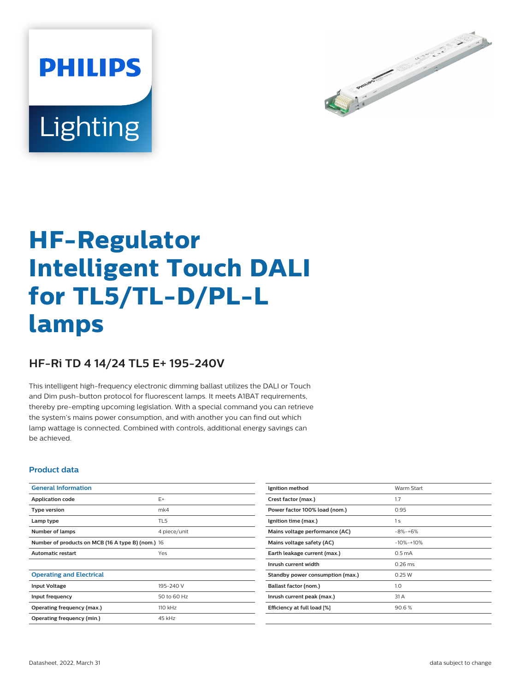



# **HF-Regulator Intelligent Touch DALI for TL5/TL-D/PL-L lamps**

## **HF-Ri TD 4 14/24 TL5 E+ 195-240V**

This intelligent high-frequency electronic dimming ballast utilizes the DALI or Touch and Dim push-button protocol for fluorescent lamps. It meets A1BAT requirements, thereby pre-empting upcoming legislation. With a special command you can retrieve the system's mains power consumption, and with another you can find out which lamp wattage is connected. Combined with controls, additional energy savings can be achieved.

#### **Product data**

| <b>General Information</b>                        |                 |  |  |  |
|---------------------------------------------------|-----------------|--|--|--|
| Application code                                  | E+              |  |  |  |
| <b>Type version</b>                               | mk4             |  |  |  |
| Lamp type                                         | TL <sub>5</sub> |  |  |  |
| Number of lamps                                   | 4 piece/unit    |  |  |  |
| Number of products on MCB (16 A type B) (nom.) 16 |                 |  |  |  |
| <b>Automatic restart</b>                          | Yes             |  |  |  |
|                                                   |                 |  |  |  |
| <b>Operating and Electrical</b>                   |                 |  |  |  |
| <b>Input Voltage</b>                              | 195-240 V       |  |  |  |
| Input frequency                                   | 50 to 60 Hz     |  |  |  |
| Operating frequency (max.)                        | 110 kHz         |  |  |  |
| Operating frequency (min.)                        | 45 kHz          |  |  |  |

| Ignition method                  | <b>Warm Start</b> |
|----------------------------------|-------------------|
| Crest factor (max.)              | 1.7               |
| Power factor 100% load (nom.)    | 0.95              |
| Ignition time (max.)             | 1 <sub>s</sub>    |
| Mains voltage performance (AC)   | $-8% -+6%$        |
| Mains voltage safety (AC)        | $-10% -10%$       |
| Earth leakage current (max.)     | $0.5 \text{ mA}$  |
| Inrush current width             | $0.26$ ms         |
| Standby power consumption (max.) | 0.25 W            |
| Ballast factor (nom.)            | 1.0               |
| Inrush current peak (max.)       | 31 A              |
| Efficiency at full load [%]      | 90.6%             |
|                                  |                   |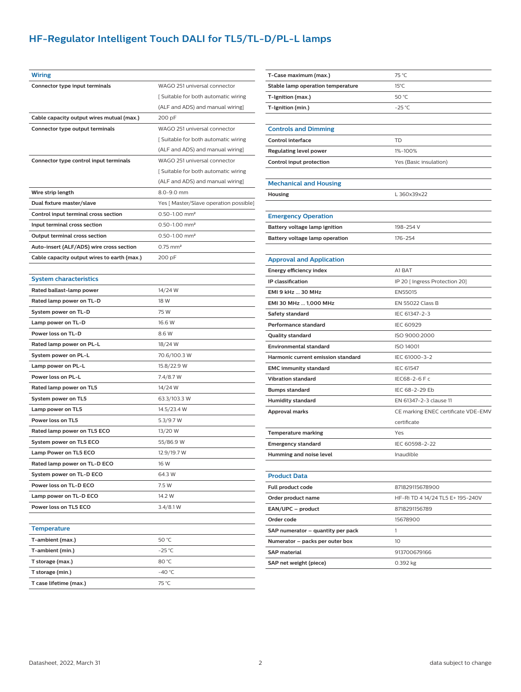## **HF-Regulator Intelligent Touch DALI for TL5/TL-D/PL-L lamps**

| <b>Wiring</b>                               |                                        |  |  |  |
|---------------------------------------------|----------------------------------------|--|--|--|
| Connector type input terminals              | WAGO 251 universal connector           |  |  |  |
|                                             | [Suitable for both automatic wiring    |  |  |  |
|                                             | (ALF and ADS) and manual wiring]       |  |  |  |
| Cable capacity output wires mutual (max.)   | 200 pF                                 |  |  |  |
| Connector type output terminals             | WAGO 251 universal connector           |  |  |  |
|                                             | [Suitable for both automatic wiring]   |  |  |  |
|                                             | (ALF and ADS) and manual wiring]       |  |  |  |
| Connector type control input terminals      | WAGO 251 universal connector           |  |  |  |
|                                             | [Suitable for both automatic wiring    |  |  |  |
|                                             | (ALF and ADS) and manual wiring]       |  |  |  |
| Wire strip length                           | 8.0-9.0 mm                             |  |  |  |
| Dual fixture master/slave                   | Yes [ Master/Slave operation possible] |  |  |  |
| Control input terminal cross section        | $0.50 - 1.00$ mm <sup>2</sup>          |  |  |  |
| Input terminal cross section                | $0.50 - 1.00$ mm <sup>2</sup>          |  |  |  |
| Output terminal cross section               | $0.50 - 1.00$ mm <sup>2</sup>          |  |  |  |
| Auto-insert (ALF/ADS) wire cross section    | $0.75$ mm <sup>2</sup>                 |  |  |  |
| Cable capacity output wires to earth (max.) | 200 pF                                 |  |  |  |
|                                             |                                        |  |  |  |
| <b>System characteristics</b>               |                                        |  |  |  |
| Rated ballast-lamp power                    | 14/24 W                                |  |  |  |
| Rated lamp power on TL-D                    | 18 W                                   |  |  |  |
| System power on TL-D                        | 75 W                                   |  |  |  |
| Lamp power on TL-D                          | 16.6 W                                 |  |  |  |
| Power loss on TL-D                          | 8.6 W                                  |  |  |  |
| Rated lamp power on PL-L                    | 18/24 W                                |  |  |  |
| System power on PL-L                        | 70.6/100.3 W                           |  |  |  |
| Lamp power on PL-L                          | 15.8/22.9 W                            |  |  |  |
| Power loss on PL-L                          | 7.4/8.7 W                              |  |  |  |
| Rated lamp power on TL5                     | 14/24 W                                |  |  |  |
| System power on TL5                         | 63.3/103.3 W                           |  |  |  |
| Lamp power on TL5                           | 14.5/23.4 W                            |  |  |  |
| Power loss on TL5                           | 5.3/9.7 W                              |  |  |  |
| Rated lamp power on TL5 ECO                 | 13/20 W                                |  |  |  |
| System power on TL5 ECO                     | 55/86.9 W                              |  |  |  |
| <b>Lamp Power on TL5 ECO</b>                | 12.9/19.7 W                            |  |  |  |
| Rated lamp power on TL-D ECO                | 16 W                                   |  |  |  |
| System power on TL-D ECO                    | 64.3 W                                 |  |  |  |
| Power loss on TL-D ECO                      | 7.5 W                                  |  |  |  |
| Lamp power on TL-D ECO                      | 14.2 W                                 |  |  |  |
| Power loss on TL5 ECO                       | 3.4/8.1 W                              |  |  |  |
|                                             |                                        |  |  |  |
| <b>Temperature</b>                          |                                        |  |  |  |
| T-ambient (max.)                            | 50 °C                                  |  |  |  |
| T-ambient (min.)                            | $-25 °C$                               |  |  |  |
| T storage (max.)                            | 80 °C                                  |  |  |  |
| T storage (min.)                            | $-40 °C$                               |  |  |  |
| T case lifetime (max.)                      | 75 °C                                  |  |  |  |

| T-Case maximum (max.)              | 75 °C                               |  |  |  |
|------------------------------------|-------------------------------------|--|--|--|
| Stable lamp operation temperature  | $15^{\circ}$ C                      |  |  |  |
| T-Ignition (max.)                  | 50 °C                               |  |  |  |
| T-Ignition (min.)                  | $-25$ °C                            |  |  |  |
|                                    |                                     |  |  |  |
| <b>Controls and Dimming</b>        |                                     |  |  |  |
| <b>Control interface</b>           | TD                                  |  |  |  |
| <b>Regulating level power</b>      | 1%-100%                             |  |  |  |
| Control input protection           | Yes (Basic insulation)              |  |  |  |
|                                    |                                     |  |  |  |
| <b>Mechanical and Housing</b>      |                                     |  |  |  |
| Housing                            | L 360x39x22                         |  |  |  |
|                                    |                                     |  |  |  |
| <b>Emergency Operation</b>         |                                     |  |  |  |
| Battery voltage lamp ignition      | 198-254 V                           |  |  |  |
| Battery voltage lamp operation     | 176-254                             |  |  |  |
|                                    |                                     |  |  |  |
| <b>Approval and Application</b>    |                                     |  |  |  |
| Energy efficiency index            | A1 BAT                              |  |  |  |
| IP classification                  | IP 20 [ Ingress Protection 20]      |  |  |  |
| EMI 9 kHz  30 MHz                  | EN55015                             |  |  |  |
| EMI 30 MHz  1,000 MHz              | EN 55022 Class B                    |  |  |  |
| Safety standard                    | IEC 61347-2-3                       |  |  |  |
| Performance standard               | <b>IEC 60929</b>                    |  |  |  |
| Quality standard                   | ISO 9000:2000                       |  |  |  |
| <b>Environmental standard</b>      | <b>ISO 14001</b>                    |  |  |  |
| Harmonic current emission standard | IEC 61000-3-2                       |  |  |  |
| <b>EMC immunity standard</b>       | <b>IEC 61547</b>                    |  |  |  |
| <b>Vibration standard</b>          | IEC68-2-6 F c                       |  |  |  |
| Bumps standard                     | IEC 68-2-29 Eb                      |  |  |  |
| <b>Humidity standard</b>           | EN 61347-2-3 clause 11              |  |  |  |
| Approval marks                     | CE marking ENEC certificate VDE-EMV |  |  |  |
|                                    | certificate                         |  |  |  |
| <b>Temperature marking</b>         | Yes                                 |  |  |  |
| <b>Emergency standard</b>          | IEC 60598-2-22                      |  |  |  |
| Humming and noise level            | Inaudible                           |  |  |  |
|                                    |                                     |  |  |  |
| <b>Product Data</b>                |                                     |  |  |  |
| Full product code                  | 871829115678900                     |  |  |  |
| Order product name                 | HF-Ri TD 4 14/24 TL5 E+ 195-240V    |  |  |  |
| EAN/UPC - product                  | 8718291156789                       |  |  |  |
| Order code                         | 15678900                            |  |  |  |
| SAP numerator – quantity per pack  | 1                                   |  |  |  |
| Numerator – packs per outer box    | 10                                  |  |  |  |
| <b>SAP material</b>                | 913700679166                        |  |  |  |
| SAP net weight (piece)             | 0.392 kg                            |  |  |  |